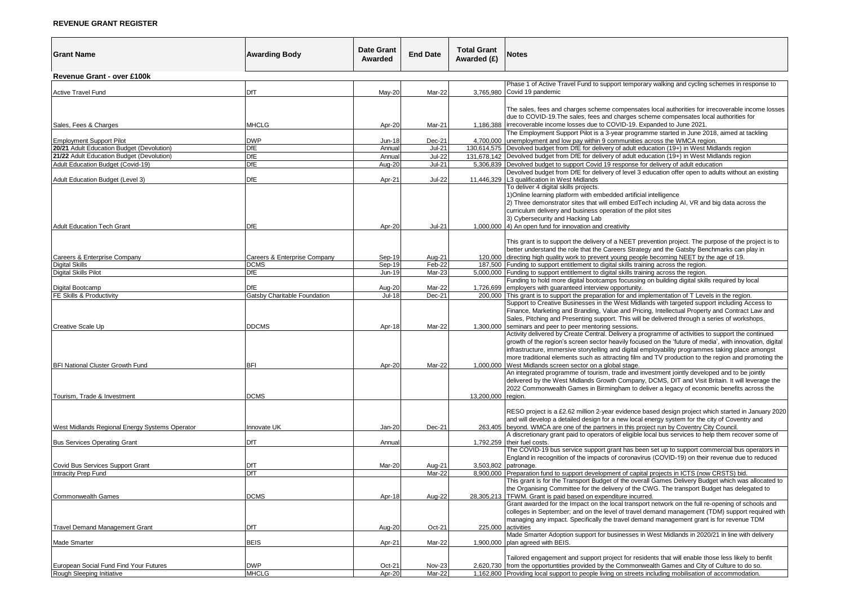## **REVENUE GRANT REGISTER**

| <b>Grant Name</b>                              | <b>Awarding Body</b>         | <b>Date Grant</b><br>Awarded | <b>End Date</b>  | <b>Total Grant</b><br>Awarded (£) | Notes                                                                                                                                                                                                                                                                                                                                                                                                                                                                               |  |
|------------------------------------------------|------------------------------|------------------------------|------------------|-----------------------------------|-------------------------------------------------------------------------------------------------------------------------------------------------------------------------------------------------------------------------------------------------------------------------------------------------------------------------------------------------------------------------------------------------------------------------------------------------------------------------------------|--|
| Revenue Grant - over £100k                     |                              |                              |                  |                                   |                                                                                                                                                                                                                                                                                                                                                                                                                                                                                     |  |
| Active Travel Fund                             | DfT                          | May-20                       | Mar-22           |                                   | Phase 1 of Active Travel Fund to support temporary walking and cycling schemes in response to<br>3,765,980 Covid 19 pandemic                                                                                                                                                                                                                                                                                                                                                        |  |
| Sales, Fees & Charges                          | <b>MHCLG</b>                 | Apr-20                       | Mar-21           |                                   | The sales, fees and charges scheme compensates local authorities for irrecoverable income losses<br>due to COVID-19. The sales, fees and charges scheme compensates local authorities for<br>1,186,388   irrecoverable income losses due to COVID-19. Expanded to June 2021.                                                                                                                                                                                                        |  |
| <b>Employment Support Pilot</b>                | <b>DWP</b>                   | <b>Jun-18</b>                | Dec-21           |                                   | The Employment Support Pilot is a 3-year programme started in June 2018, aimed at tackling<br>4,700,000 unemployment and low pay within 9 communities across the WMCA region.                                                                                                                                                                                                                                                                                                       |  |
| 20/21 Adult Education Budget (Devolution)      | DfE                          | Annual                       | $Jul-21$         |                                   | 130,614,575 Devolved budget from DfE for delivery of adult education (19+) in West Midlands region                                                                                                                                                                                                                                                                                                                                                                                  |  |
| 21/22 Adult Education Budget (Devolution)      | <b>DfE</b>                   | Annual                       | <b>Jul-22</b>    |                                   | 131,678,142 Devolved budget from DfE for delivery of adult education (19+) in West Midlands region                                                                                                                                                                                                                                                                                                                                                                                  |  |
| Adult Education Budget (Covid-19)              | <b>DfE</b>                   | Aug-20                       | $Jul-21$         |                                   | 5,306,839 Devolved budget to support Covid 19 response for delivery of adult education                                                                                                                                                                                                                                                                                                                                                                                              |  |
| Adult Education Budget (Level 3)               | <b>DfE</b>                   | Apr-21                       | <b>Jul-22</b>    | 11,446,329                        | Devolved budget from DfE for delivery of level 3 education offer open to adults without an existing<br>L3 qualification in West Midlands                                                                                                                                                                                                                                                                                                                                            |  |
| <b>Adult Education Tech Grant</b>              | DfE                          | Apr-20                       | <b>Jul-21</b>    |                                   | To deliver 4 digital skills projects.<br>1) Online learning platform with embedded artificial intelligence<br>2) Three demonstrator sites that will embed EdTech including AI, VR and big data across the<br>curriculum delivery and business operation of the pilot sites<br>3) Cybersecurity and Hacking Lab<br>1,000,000 4) An open fund for innovation and creativity                                                                                                           |  |
|                                                |                              |                              |                  |                                   | This grant is to support the delivery of a NEET prevention project. The purpose of the project is to<br>better understand the role that the Careers Strategy and the Gatsby Benchmarks can play in                                                                                                                                                                                                                                                                                  |  |
| Careers & Enterprise Company<br>Digital Skills | Careers & Enterprise Company | Sep-19                       | Aug-21<br>Feb-22 |                                   | 120,000 directing high quality work to prevent young people becoming NEET by the age of 19.                                                                                                                                                                                                                                                                                                                                                                                         |  |
| <b>Digital Skills Pilot</b>                    | <b>DCMS</b><br>DfE           | Sep-19<br>Jun-19             | Mar-23           |                                   | 187,500 Funding to support entitlement to digital skills training across the region.<br>5,000,000 Funding to support entitlement to digital skills training across the region.                                                                                                                                                                                                                                                                                                      |  |
|                                                |                              |                              |                  |                                   | Funding to hold more digital bootcamps focussing on building digital skills required by local                                                                                                                                                                                                                                                                                                                                                                                       |  |
| Digital Bootcamp                               | <b>DfE</b>                   | Aug-20                       | Mar-22           | 1,726,699                         | employers with quaranteed interview opportunity.                                                                                                                                                                                                                                                                                                                                                                                                                                    |  |
| FE Skills & Productivity                       | Gatsby Charitable Foundation | Jul-18                       | Dec-21           | 200,000                           | This grant is to support the preparation for and implementation of T Levels in the region.                                                                                                                                                                                                                                                                                                                                                                                          |  |
| Creative Scale Up                              | <b>DDCMS</b>                 | Apr-18                       | Mar-22           | 1,300,000                         | Support to Creative Businesses in the West Midlands with targeted support including Access to<br>Finance, Marketing and Branding, Value and Pricing, Intellectual Property and Contract Law and<br>Sales, Pitching and Presenting support. This will be delivered through a series of workshops,<br>seminars and peer to peer mentoring sessions.                                                                                                                                   |  |
| BFI National Cluster Growth Fund               | <b>BFI</b>                   | Apr-20                       | Mar-22           |                                   | Activity delivered by Create Central. Delivery a programme of activities to support the continued<br>growth of the region's screen sector heavily focused on the 'future of media', with innovation, digital<br>infrastructure, immersive storytelling and digital employability programmes taking place amongst<br>more traditional elements such as attracting film and TV production to the region and promoting the<br>1,000,000 West Midlands screen sector on a global stage. |  |
| Tourism, Trade & Investment                    | <b>DCMS</b>                  |                              |                  | 13,200,000                        | An integrated programme of tourism, trade and investment jointly developed and to be jointly<br>delivered by the West Midlands Growth Company, DCMS, DIT and Visit Britain. It will leverage the<br>2022 Commonwealth Games in Birmingham to deliver a legacy of economic benefits across the<br>region.                                                                                                                                                                            |  |
| West Midlands Regional Energy Systems Operator | Innovate UK                  | Jan-20                       | Dec-21           |                                   | RESO project is a £2.62 million 2-year evidence based design project which started in January 2020<br>and will develop a detailed design for a new local energy system for the city of Coventry and<br>263,405 beyond. WMCA are one of the partners in this project run by Coventry City Council.                                                                                                                                                                                   |  |
|                                                |                              |                              |                  |                                   | A discretionary grant paid to operators of eligible local bus services to help them recover some of                                                                                                                                                                                                                                                                                                                                                                                 |  |
| <b>Bus Services Operating Grant</b>            | DfT                          | Annual                       |                  | 1,792,259                         | their fuel costs.<br>The COVID-19 bus service support grant has been set up to support commercial bus operators in                                                                                                                                                                                                                                                                                                                                                                  |  |
|                                                |                              |                              |                  |                                   | England in recognition of the impacts of coronavirus (COVID-19) on their revenue due to reduced                                                                                                                                                                                                                                                                                                                                                                                     |  |
| Covid Bus Services Support Grant               | DfT                          | Mar-20                       | Aug-21           | 3,503,802                         | patronage.                                                                                                                                                                                                                                                                                                                                                                                                                                                                          |  |
| Intracity Prep Fund                            | DfT                          |                              | Mar-22           | 8.900.000                         | Preparation fund to support development of capital projects in ICTS (now CRSTS) bid.<br>This grant is for the Transport Budget of the overall Games Delivery Budget which was allocated to                                                                                                                                                                                                                                                                                          |  |
| <b>Commonwealth Games</b>                      | <b>DCMS</b>                  | Apr-18                       | Aug-22           | 28,305,213                        | the Organising Committee for the delivery of the CWG. The transport Budget has delegated to<br>TFWM. Grant is paid based on expenditure incurred.                                                                                                                                                                                                                                                                                                                                   |  |
| <b>Travel Demand Management Grant</b>          | DfT                          | Aug-20                       | Oct-21           |                                   | Grant awarded for the Impact on the local transport network on the full re-opening of schools and<br>colleges in September; and on the level of travel demand management (TDM) support required with<br>managing any impact. Specifically the travel demand management grant is for revenue TDM<br>225,000 activities                                                                                                                                                               |  |
|                                                |                              |                              |                  |                                   | Made Smarter Adoption support for businesses in West Midlands in 2020/21 in line with delivery                                                                                                                                                                                                                                                                                                                                                                                      |  |
| Made Smarter                                   | <b>BEIS</b>                  | Apr-21                       | Mar-22           | 1,900,000                         | plan agreed with BEIS.                                                                                                                                                                                                                                                                                                                                                                                                                                                              |  |
| European Social Fund Find Your Futures         | <b>DWP</b>                   | Oct-21                       | Nov-23           | 2.620.730                         | Tailored engagement and support project for residents that will enable those less likely to benfit<br>from the opportuntities provided by the Commonwealth Games and City of Culture to do so.                                                                                                                                                                                                                                                                                      |  |
| Rough Sleeping Initiative                      | <b>MHCLG</b>                 | Apr-20                       | Mar-22           |                                   | 1,162,800 Providing local support to people living on streets including mobilisation of accommodation.                                                                                                                                                                                                                                                                                                                                                                              |  |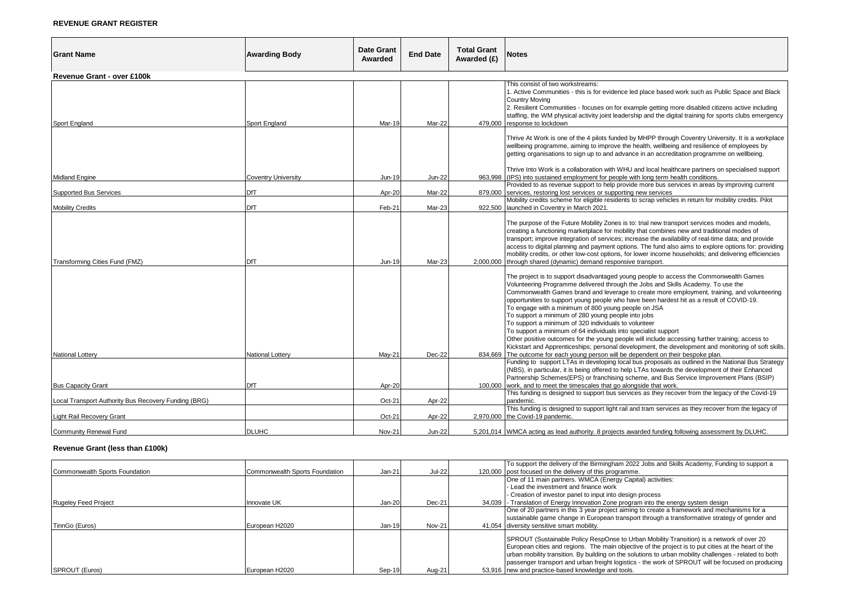## **REVENUE GRANT REGISTER**

| <b>Grant Name</b>                                    | <b>Awarding Body</b>       | <b>Date Grant</b><br>Awarded | <b>End Date</b> | <b>Total Grant</b><br>Awarded (£) | <b>Notes</b>                                                                                                                                                                                                                                                                                                                                                                                                                                                                                                                                                                                                                                                                                                                                                                                                                                                                                                |  |  |
|------------------------------------------------------|----------------------------|------------------------------|-----------------|-----------------------------------|-------------------------------------------------------------------------------------------------------------------------------------------------------------------------------------------------------------------------------------------------------------------------------------------------------------------------------------------------------------------------------------------------------------------------------------------------------------------------------------------------------------------------------------------------------------------------------------------------------------------------------------------------------------------------------------------------------------------------------------------------------------------------------------------------------------------------------------------------------------------------------------------------------------|--|--|
| <b>Revenue Grant - over £100k</b>                    |                            |                              |                 |                                   |                                                                                                                                                                                                                                                                                                                                                                                                                                                                                                                                                                                                                                                                                                                                                                                                                                                                                                             |  |  |
| <b>Sport England</b>                                 | Sport England              | <b>Mar-19</b>                | Mar-22          | 479,000                           | This consist of two workstreams:<br>1. Active Communities - this is for evidence led place based work such as Public Space and Black<br><b>Country Moving</b><br>2. Resilient Communities - focuses on for example getting more disabled citizens active including<br>staffing, the WM physical activity joint leadership and the digital training for sports clubs emergency<br>response to lockdown                                                                                                                                                                                                                                                                                                                                                                                                                                                                                                       |  |  |
|                                                      |                            |                              |                 |                                   | Thrive At Work is one of the 4 pilots funded by MHPP through Coventry University. It is a workplace<br>wellbeing programme, aiming to improve the health, wellbeing and resilience of employees by<br>getting organisations to sign up to and advance in an accreditation programme on wellbeing.<br>Thrive Into Work is a collaboration with WHU and local healthcare partners on specialised support                                                                                                                                                                                                                                                                                                                                                                                                                                                                                                      |  |  |
| <b>Midland Engine</b>                                | <b>Coventry University</b> | Jun-19                       | <b>Jun-22</b>   | 963.998                           | (IPS) into sustained employment for people with long term health conditions.                                                                                                                                                                                                                                                                                                                                                                                                                                                                                                                                                                                                                                                                                                                                                                                                                                |  |  |
| Supported Bus Services                               | DfT                        | Apr-20                       | Mar-22          | 879.000                           | Provided to as revenue support to help provide more bus services in areas by improving current<br>services, restoring lost services or supporting new services                                                                                                                                                                                                                                                                                                                                                                                                                                                                                                                                                                                                                                                                                                                                              |  |  |
| <b>Mobility Credits</b>                              | DfT                        | Feb-21                       | Mar-23          |                                   | Mobility credits scheme for eligible residents to scrap vehicles in return for mobility credits. Pilot<br>922,500 launched in Coventry in March 2021.                                                                                                                                                                                                                                                                                                                                                                                                                                                                                                                                                                                                                                                                                                                                                       |  |  |
| Transforming Cities Fund (FMZ)                       | DfT                        | Jun-19                       | Mar-23          |                                   | The purpose of the Future Mobility Zones is to: trial new transport services modes and models,<br>creating a functioning marketplace for mobility that combines new and traditional modes of<br>transport; improve integration of services; increase the availability of real-time data; and provide<br>access to digital planning and payment options. The fund also aims to explore options for: providing<br>mobility credits, or other low-cost options, for lower income households; and delivering efficiencies<br>2,000,000 through shared (dynamic) demand responsive transport.                                                                                                                                                                                                                                                                                                                    |  |  |
| <b>National Lottery</b>                              | National Lottery           | May-21                       | Dec-22          |                                   | The project is to support disadvantaged young people to access the Commonwealth Games<br>Volunteering Programme delivered through the Jobs and Skills Academy. To use the<br>Commonwealth Games brand and leverage to create more employment, training, and volunteering<br>opportunities to support young people who have been hardest hit as a result of COVID-19.<br>To engage with a minimum of 800 young people on JSA<br>To support a minimum of 280 young people into jobs<br>To support a minimum of 320 individuals to volunteer<br>To support a minimum of 64 individuals into specialist support<br>Other positive outcomes for the young people will include accessing further training; access to<br>Kickstart and Apprenticeships; personal development, the development and monitoring of soft skills.<br>834,669 The outcome for each young person will be dependent on their bespoke plan. |  |  |
|                                                      |                            |                              |                 |                                   | Funding to support LTAs in developing local bus proposals as outlined in the National Bus Strategy<br>(NBS), in particular, it is being offered to help LTAs towards the development of their Enhanced<br>Partnership Schemes(EPS) or franchising scheme, and Bus Service Improvement Plans (BSIP)                                                                                                                                                                                                                                                                                                                                                                                                                                                                                                                                                                                                          |  |  |
| <b>Bus Capacity Grant</b>                            | <b>DfT</b>                 | Apr-20                       |                 |                                   | 100,000 work, and to meet the timescales that go alongside that work.                                                                                                                                                                                                                                                                                                                                                                                                                                                                                                                                                                                                                                                                                                                                                                                                                                       |  |  |
| Local Transport Authority Bus Recovery Funding (BRG) |                            | Oct-21                       | Apr-22          |                                   | This funding is designed to support bus services as they recover from the legacy of the Covid-19<br>pandemic.<br>This funding is designed to support light rail and tram services as they recover from the legacy of                                                                                                                                                                                                                                                                                                                                                                                                                                                                                                                                                                                                                                                                                        |  |  |
| <b>Light Rail Recovery Grant</b>                     |                            | Oct-21                       | Apr-22          |                                   | 2,970,000 the Covid-19 pandemic.                                                                                                                                                                                                                                                                                                                                                                                                                                                                                                                                                                                                                                                                                                                                                                                                                                                                            |  |  |
| Community Renewal Fund                               | <b>DLUHC</b>               | Nov-21                       | Jun-22          |                                   | 5,201,014 WMCA acting as lead authority. 8 projects awarded funding following assessment by DLUHC.                                                                                                                                                                                                                                                                                                                                                                                                                                                                                                                                                                                                                                                                                                                                                                                                          |  |  |

# **Revenue Grant (less than £100k)**

|                                |                                |          |               | To support the delivery of the Birmingham 2022 Jobs and Skills Academy, Funding to support a                                                                                                                                                                                                                                                                                                                    |
|--------------------------------|--------------------------------|----------|---------------|-----------------------------------------------------------------------------------------------------------------------------------------------------------------------------------------------------------------------------------------------------------------------------------------------------------------------------------------------------------------------------------------------------------------|
| Commonwealth Sports Foundation | Commonwealth Sports Foundation | $Jan-21$ | <b>Jul-22</b> | 120,000 post focused on the delivery of this programme.                                                                                                                                                                                                                                                                                                                                                         |
|                                |                                |          |               | One of 11 main partners. WMCA (Energy Capital) activities:                                                                                                                                                                                                                                                                                                                                                      |
|                                |                                |          |               | Lead the investment and finance work                                                                                                                                                                                                                                                                                                                                                                            |
|                                |                                |          |               | - Creation of investor panel to input into design process                                                                                                                                                                                                                                                                                                                                                       |
| <b>Rugeley Feed Project</b>    | Innovate UK                    | $Jan-20$ | $Dec-21$      | 34,039 - Translation of Energy Innovation Zone program into the energy system design                                                                                                                                                                                                                                                                                                                            |
|                                |                                |          |               | One of 20 partners in this 3 year project aiming to create a framework and mechanisms for a                                                                                                                                                                                                                                                                                                                     |
|                                |                                |          |               | sustainable game change in European transport through a transformative strategy of gender and                                                                                                                                                                                                                                                                                                                   |
| TinnGo (Euros)                 | European H2020                 | Jan-19   | Nov-21        | 41,054 diversity sensitive smart mobility.                                                                                                                                                                                                                                                                                                                                                                      |
|                                |                                |          |               | SPROUT (Sustainable Policy RespOnse to Urban Mobility Transition) is a network of over 20<br>European cities and regions. The main objective of the project is to put cities at the heart of the<br>urban mobility transition. By building on the solutions to urban mobility challenges - related to both<br>passenger transport and urban freight logistics - the work of SPROUT will be focused on producing |
| SPROUT (Euros)                 | European H2020                 | Sep-19   | Aug-21        | 53.916 new and practice-based knowledge and tools.                                                                                                                                                                                                                                                                                                                                                              |